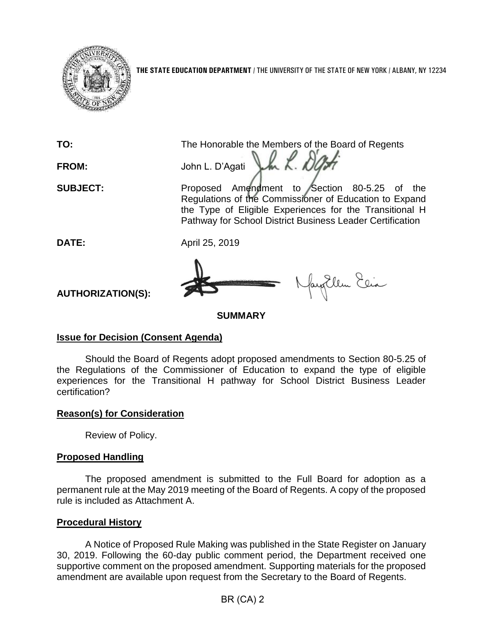

**THE STATE EDUCATION DEPARTMENT** / THE UNIVERSITY OF THE STATE OF NEW YORK / ALBANY, NY 12234

**TO:** The Honorable the Members of the Board of Regents Jh L. Dy **FROM:** John L. D'Agati

**SUBJECT:** Proposed Amendment to Section 80-5.25 of the Regulations of the Commissioner of Education to Expand the Type of Eligible Experiences for the Transitional H Pathway for School District Business Leader Certification

**DATE:** April 25, 2019



gEllen Elia

**AUTHORIZATION(S):**

**SUMMARY**

# **Issue for Decision (Consent Agenda)**

Should the Board of Regents adopt proposed amendments to Section 80-5.25 of the Regulations of the Commissioner of Education to expand the type of eligible experiences for the Transitional H pathway for School District Business Leader certification?

# **Reason(s) for Consideration**

Review of Policy.

# **Proposed Handling**

The proposed amendment is submitted to the Full Board for adoption as a permanent rule at the May 2019 meeting of the Board of Regents. A copy of the proposed rule is included as Attachment A.

# **Procedural History**

A Notice of Proposed Rule Making was published in the State Register on January 30, 2019. Following the 60-day public comment period, the Department received one supportive comment on the proposed amendment. Supporting materials for the proposed amendment are available upon request from the Secretary to the Board of Regents.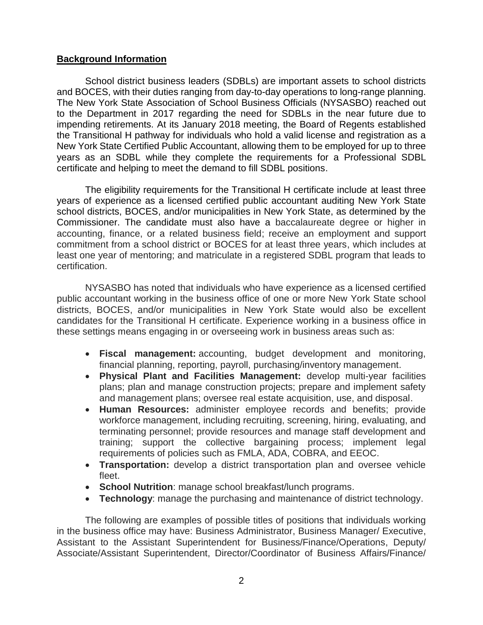## **Background Information**

School district business leaders (SDBLs) are important assets to school districts and BOCES, with their duties ranging from day-to-day operations to long-range planning. The New York State Association of School Business Officials (NYSASBO) reached out to the Department in 2017 regarding the need for SDBLs in the near future due to impending retirements. At its January 2018 meeting, the Board of Regents established the Transitional H pathway for individuals who hold a valid license and registration as a New York State Certified Public Accountant, allowing them to be employed for up to three years as an SDBL while they complete the requirements for a Professional SDBL certificate and helping to meet the demand to fill SDBL positions.

The eligibility requirements for the Transitional H certificate include at least three years of experience as a licensed certified public accountant auditing New York State school districts, BOCES, and/or municipalities in New York State, as determined by the Commissioner. The candidate must also have a baccalaureate degree or higher in accounting, finance, or a related business field; receive an employment and support commitment from a school district or BOCES for at least three years, which includes at least one year of mentoring; and matriculate in a registered SDBL program that leads to certification.

NYSASBO has noted that individuals who have experience as a licensed certified public accountant working in the business office of one or more New York State school districts, BOCES, and/or municipalities in New York State would also be excellent candidates for the Transitional H certificate. Experience working in a business office in these settings means engaging in or overseeing work in business areas such as:

- **Fiscal management:** accounting, budget development and monitoring, financial planning, reporting, payroll, purchasing/inventory management.
- **Physical Plant and Facilities Management:** develop multi-year facilities plans; plan and manage construction projects; prepare and implement safety and management plans; oversee real estate acquisition, use, and disposal.
- **Human Resources:** administer employee records and benefits; provide workforce management, including recruiting, screening, hiring, evaluating, and terminating personnel; provide resources and manage staff development and training; support the collective bargaining process; implement legal requirements of policies such as FMLA, ADA, COBRA, and EEOC.
- **Transportation:** develop a district transportation plan and oversee vehicle fleet.
- **School Nutrition**: manage school breakfast/lunch programs.
- **Technology**: manage the purchasing and maintenance of district technology.

The following are examples of possible titles of positions that individuals working in the business office may have: Business Administrator, Business Manager/ Executive, Assistant to the Assistant Superintendent for Business/Finance/Operations, Deputy/ Associate/Assistant Superintendent, Director/Coordinator of Business Affairs/Finance/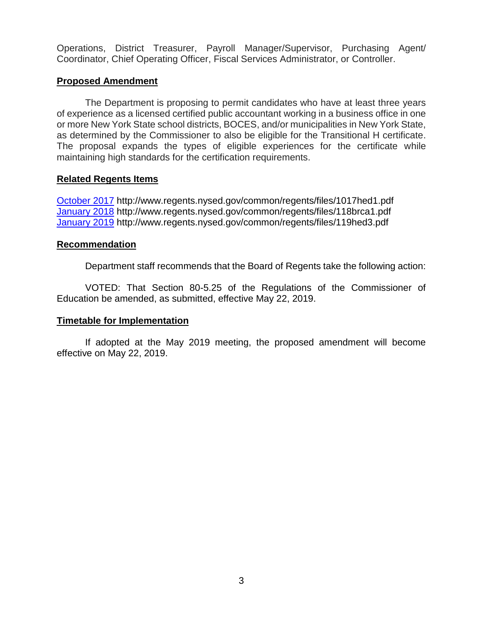Operations, District Treasurer, Payroll Manager/Supervisor, Purchasing Agent/ Coordinator, Chief Operating Officer, Fiscal Services Administrator, or Controller.

## **Proposed Amendment**

The Department is proposing to permit candidates who have at least three years of experience as a licensed certified public accountant working in a business office in one or more New York State school districts, BOCES, and/or municipalities in New York State, as determined by the Commissioner to also be eligible for the Transitional H certificate. The proposal expands the types of eligible experiences for the certificate while maintaining high standards for the certification requirements.

## **Related Regents Items**

[October 2017](http://www.regents.nysed.gov/common/regents/files/1017hed1.pdf) http://www.regents.nysed.gov/common/regents/files/1017hed1.pdf [January 2018](http://www.regents.nysed.gov/common/regents/files/118brca1.pdf) http://www.regents.nysed.gov/common/regents/files/118brca1.pdf [January 2019](http://www.regents.nysed.gov/common/regents/files/119hed3.pdf) http://www.regents.nysed.gov/common/regents/files/119hed3.pdf

## **Recommendation**

Department staff recommends that the Board of Regents take the following action:

VOTED: That Section 80-5.25 of the Regulations of the Commissioner of Education be amended, as submitted, effective May 22, 2019.

## **Timetable for Implementation**

If adopted at the May 2019 meeting, the proposed amendment will become effective on May 22, 2019.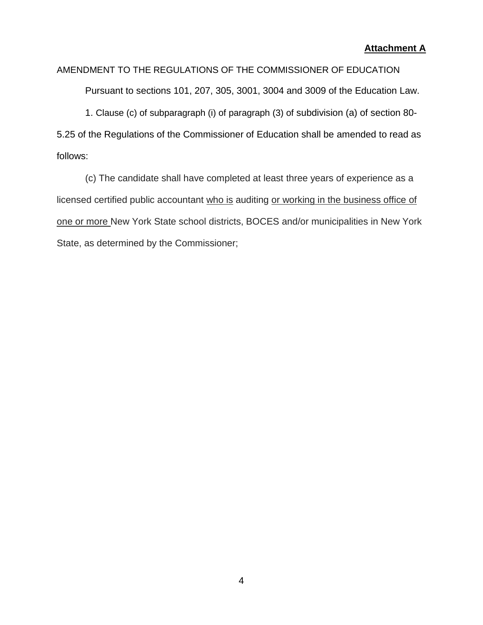## AMENDMENT TO THE REGULATIONS OF THE COMMISSIONER OF EDUCATION

Pursuant to sections 101, 207, 305, 3001, 3004 and 3009 of the Education Law.

1. Clause (c) of subparagraph (i) of paragraph (3) of subdivision (a) of section 80- 5.25 of the Regulations of the Commissioner of Education shall be amended to read as follows:

(c) The candidate shall have completed at least three years of experience as a licensed certified public accountant who is auditing or working in the business office of one or more New York State school districts, BOCES and/or municipalities in New York State, as determined by the Commissioner;